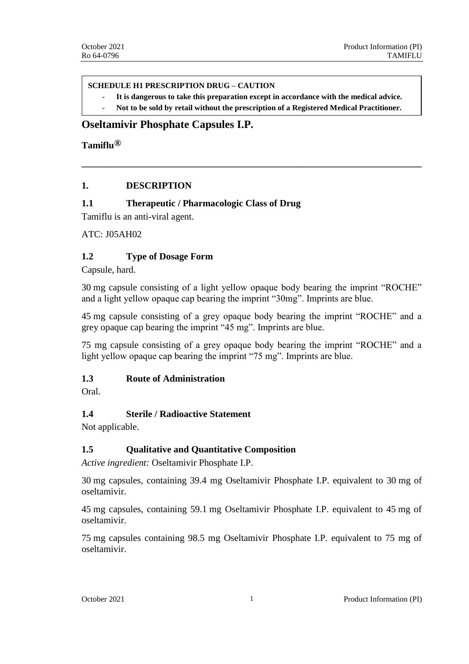#### **SCHEDULE H1 PRESCRIPTION DRUG – CAUTION**

- **It is dangerous to take this preparation except in accordance with the medical advice.**

**\_\_\_\_\_\_\_\_\_\_\_\_\_\_\_\_\_\_\_\_\_\_\_\_\_\_\_\_\_\_\_\_\_\_\_\_\_\_\_\_\_\_\_\_\_\_\_\_\_\_\_\_\_\_\_\_\_\_\_\_\_\_\_\_\_\_\_\_\_\_\_\_**

- **Not to be sold by retail without the prescription of a Registered Medical Practitioner.** 

# **Oseltamivir Phosphate Capsules I.P.**

**Tamiflu®**

## **1. DESCRIPTION**

## **1.1 Therapeutic / Pharmacologic Class of Drug**

Tamiflu is an anti-viral agent.

ATC: J05AH02

## **1.2 Type of Dosage Form**

Capsule, hard.

30 mg capsule consisting of a light yellow opaque body bearing the imprint "ROCHE" and a light yellow opaque cap bearing the imprint "30mg". Imprints are blue.

45 mg capsule consisting of a grey opaque body bearing the imprint "ROCHE" and a grey opaque cap bearing the imprint "45 mg". Imprints are blue.

75 mg capsule consisting of a grey opaque body bearing the imprint "ROCHE" and a light yellow opaque cap bearing the imprint "75 mg". Imprints are blue.

### **1.3 Route of Administration**

Oral.

### **1.4 Sterile / Radioactive Statement**

Not applicable.

### **1.5 Qualitative and Quantitative Composition**

*Active ingredient:* Oseltamivir Phosphate I.P.

30 mg capsules, containing 39.4 mg Oseltamivir Phosphate I.P. equivalent to 30 mg of oseltamivir.

45 mg capsules, containing 59.1 mg Oseltamivir Phosphate I.P. equivalent to 45 mg of oseltamivir.

75 mg capsules containing 98.5 mg Oseltamivir Phosphate I.P. equivalent to 75 mg of oseltamivir.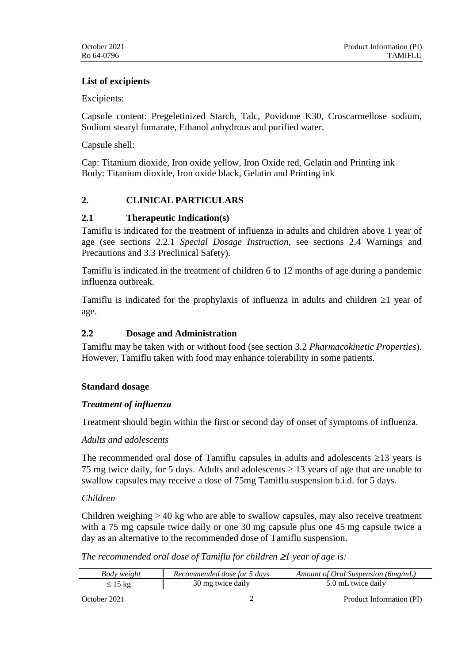## **List of excipients**

Excipients:

Capsule content: Pregeletinized Starch, Talc, Povidone K30, Croscarmellose sodium, Sodium stearyl fumarate, Ethanol anhydrous and purified water.

Capsule shell:

Cap: Titanium dioxide, Iron oxide yellow, Iron Oxide red, Gelatin and Printing ink Body: Titanium dioxide, Iron oxide black, Gelatin and Printing ink

# **2. CLINICAL PARTICULARS**

# **2.1 Therapeutic Indication(s)**

Tamiflu is indicated for the treatment of influenza in adults and children above 1 year of age (see sections 2.2.1 *Special Dosage Instruction*, see sections 2.4 Warnings and Precautions and 3.3 Preclinical Safety).

Tamiflu is indicated in the treatment of children 6 to 12 months of age during a pandemic influenza outbreak.

Tamiflu is indicated for the prophylaxis of influenza in adults and children  $\geq 1$  year of age.

## **2.2 Dosage and Administration**

Tamiflu may be taken with or without food (see section 3.2 *Pharmacokinetic Properties*). However, Tamiflu taken with food may enhance tolerability in some patients.

# **Standard dosage**

# *Treatment of influenza*

Treatment should begin within the first or second day of onset of symptoms of influenza.

### *Adults and adolescents*

The recommended oral dose of Tamiflu capsules in adults and adolescents  $\geq$ 13 years is 75 mg twice daily, for 5 days. Adults and adolescents  $\geq$  13 years of age that are unable to swallow capsules may receive a dose of 75mg Tamiflu suspension b.i.d. for 5 days.

### *Children*

Children weighing > 40 kg who are able to swallow capsules, may also receive treatment with a 75 mg capsule twice daily or one 30 mg capsule plus one 45 mg capsule twice a day as an alternative to the recommended dose of Tamiflu suspension.

### *The recommended oral dose of Tamiflu for children 1 year of age is:*

| Body weight | Recommended dose for 5 days | Amount of Oral Suspension (6mg/mL) |  |
|-------------|-----------------------------|------------------------------------|--|
|             | 30 mg twice daily           | 5.0 mL twice daily                 |  |

October 2021 2 Product Information (PI)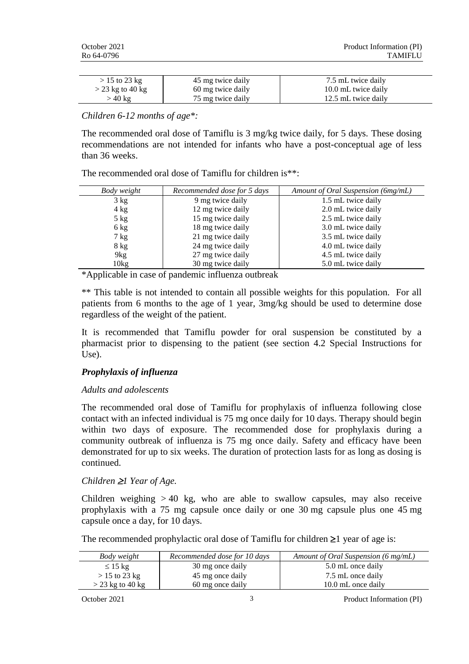| $>$ 15 to 23 kg    | 45 mg twice daily | 7.5 mL twice daily  |
|--------------------|-------------------|---------------------|
| $>$ 23 kg to 40 kg | 60 mg twice daily | 10.0 mL twice daily |
| > 40 kg            | 75 mg twice daily | 12.5 mL twice daily |

*Children 6-12 months of age\*:*

The recommended oral dose of Tamiflu is 3 mg/kg twice daily, for 5 days. These dosing recommendations are not intended for infants who have a post-conceptual age of less than 36 weeks.

| Body weight    | Recommended dose for 5 days | Amount of Oral Suspension (6mg/mL) |  |
|----------------|-----------------------------|------------------------------------|--|
| $3 \text{ kg}$ | 9 mg twice daily            | 1.5 mL twice daily                 |  |
| $4 \text{ kg}$ | 12 mg twice daily           | 2.0 mL twice daily                 |  |
| $5$ kg         | 15 mg twice daily           | 2.5 mL twice daily                 |  |
| $6 \text{ kg}$ | 18 mg twice daily           | 3.0 mL twice daily                 |  |
| $7 \text{ kg}$ | 21 mg twice daily           | 3.5 mL twice daily                 |  |
| $8 \text{ kg}$ | 24 mg twice daily           | 4.0 mL twice daily                 |  |
| 9kg            | 27 mg twice daily           | 4.5 mL twice daily                 |  |
| $10\text{kg}$  | 30 mg twice daily           | 5.0 mL twice daily                 |  |

The recommended oral dose of Tamiflu for children is\*\*:

\*Applicable in case of pandemic influenza outbreak

\*\* This table is not intended to contain all possible weights for this population. For all patients from 6 months to the age of 1 year, 3mg/kg should be used to determine dose regardless of the weight of the patient.

It is recommended that Tamiflu powder for oral suspension be constituted by a pharmacist prior to dispensing to the patient (see section 4.2 Special Instructions for Use).

### *Prophylaxis of influenza*

### *Adults and adolescents*

The recommended oral dose of Tamiflu for prophylaxis of influenza following close contact with an infected individual is 75 mg once daily for 10 days. Therapy should begin within two days of exposure. The recommended dose for prophylaxis during a community outbreak of influenza is 75 mg once daily. Safety and efficacy have been demonstrated for up to six weeks. The duration of protection lasts for as long as dosing is continued.

### *Children* ≥*1 Year of Age.*

Children weighing  $> 40$  kg, who are able to swallow capsules, may also receive prophylaxis with a 75 mg capsule once daily or one 30 mg capsule plus one 45 mg capsule once a day, for 10 days.

The recommended prophylactic oral dose of Tamiflu for children  $\geq 1$  year of age is:

| Body weight        | Recommended dose for 10 days | Amount of Oral Suspension (6 mg/mL) |  |
|--------------------|------------------------------|-------------------------------------|--|
| $\leq 15$ kg       | 30 mg once daily             | 5.0 mL once daily                   |  |
| $>$ 15 to 23 kg    | 45 mg once daily             | 7.5 mL once daily                   |  |
| $>$ 23 kg to 40 kg | 60 mg once daily             | 10.0 mL once daily                  |  |

October 2021 3 Product Information (PI)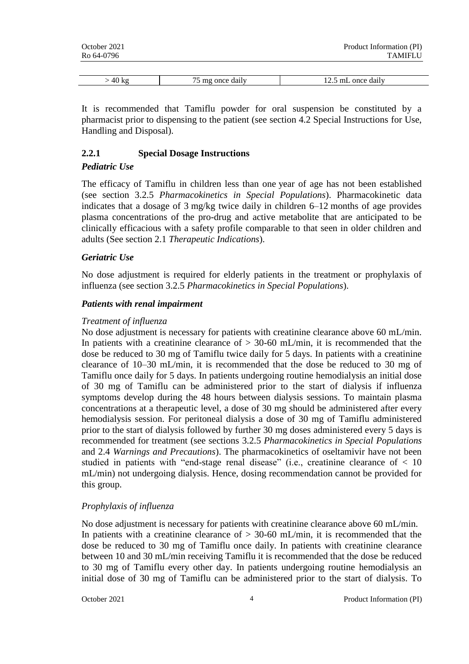| October 2021 | Product Information (PI) |
|--------------|--------------------------|
| Ro 64-0796   | <b>TAMIFLU</b>           |

| $\overline{r}$<br>A | daily<br>onc<br>↷<br>- my | . daily<br>once<br>.<br>. |
|---------------------|---------------------------|---------------------------|

It is recommended that Tamiflu powder for oral suspension be constituted by a pharmacist prior to dispensing to the patient (see section 4.2 Special Instructions for Use, Handling and Disposal).

## **2.2.1 Special Dosage Instructions**

## *Pediatric Use*

The efficacy of Tamiflu in children less than one year of age has not been established (see section 3.2.5 *Pharmacokinetics in Special Populations*). Pharmacokinetic data indicates that a dosage of 3 mg/kg twice daily in children 6–12 months of age provides plasma concentrations of the pro-drug and active metabolite that are anticipated to be clinically efficacious with a safety profile comparable to that seen in older children and adults (See section 2.1 *Therapeutic Indications*).

## *Geriatric Use*

No dose adjustment is required for elderly patients in the treatment or prophylaxis of influenza (see section 3.2.5 *Pharmacokinetics in Special Populations*).

### *Patients with renal impairment*

### *Treatment of influenza*

No dose adjustment is necessary for patients with creatinine clearance above 60 mL/min. In patients with a creatinine clearance of  $> 30-60$  mL/min, it is recommended that the dose be reduced to 30 mg of Tamiflu twice daily for 5 days. In patients with a creatinine clearance of 10–30 mL/min, it is recommended that the dose be reduced to 30 mg of Tamiflu once daily for 5 days. In patients undergoing routine hemodialysis an initial dose of 30 mg of Tamiflu can be administered prior to the start of dialysis if influenza symptoms develop during the 48 hours between dialysis sessions. To maintain plasma concentrations at a therapeutic level, a dose of 30 mg should be administered after every hemodialysis session. For peritoneal dialysis a dose of 30 mg of Tamiflu administered prior to the start of dialysis followed by further 30 mg doses administered every 5 days is recommended for treatment (see sections 3.2.5 *Pharmacokinetics in Special Populations*  and 2.4 *Warnings and Precautions*). The pharmacokinetics of oseltamivir have not been studied in patients with "end-stage renal disease" (i.e., creatinine clearance of  $< 10$ ) mL/min) not undergoing dialysis. Hence, dosing recommendation cannot be provided for this group.

# *Prophylaxis of influenza*

No dose adjustment is necessary for patients with creatinine clearance above 60 mL/min. In patients with a creatinine clearance of  $> 30{\text -}60$  mL/min, it is recommended that the dose be reduced to 30 mg of Tamiflu once daily. In patients with creatinine clearance between 10 and 30 mL/min receiving Tamiflu it is recommended that the dose be reduced to 30 mg of Tamiflu every other day. In patients undergoing routine hemodialysis an initial dose of 30 mg of Tamiflu can be administered prior to the start of dialysis. To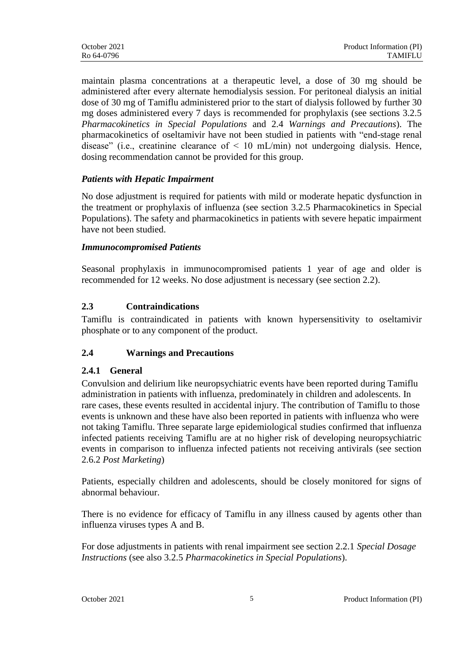maintain plasma concentrations at a therapeutic level, a dose of 30 mg should be administered after every alternate hemodialysis session. For peritoneal dialysis an initial dose of 30 mg of Tamiflu administered prior to the start of dialysis followed by further 30 mg doses administered every 7 days is recommended for prophylaxis (see sections 3.2.5 *Pharmacokinetics in Special Populations* and 2.4 *Warnings and Precautions*). The pharmacokinetics of oseltamivir have not been studied in patients with "end-stage renal disease" (i.e., creatinine clearance of  $\leq 10$  mL/min) not undergoing dialysis. Hence, dosing recommendation cannot be provided for this group.

# *Patients with Hepatic Impairment*

No dose adjustment is required for patients with mild or moderate hepatic dysfunction in the treatment or prophylaxis of influenza (see section 3.2.5 Pharmacokinetics in Special Populations). The safety and pharmacokinetics in patients with severe hepatic impairment have not been studied.

## *Immunocompromised Patients*

Seasonal prophylaxis in immunocompromised patients 1 year of age and older is recommended for 12 weeks. No dose adjustment is necessary (see section 2.2).

# **2.3 Contraindications**

Tamiflu is contraindicated in patients with known hypersensitivity to oseltamivir phosphate or to any component of the product.

# **2.4 Warnings and Precautions**

# **2.4.1 General**

Convulsion and delirium like neuropsychiatric events have been reported during Tamiflu administration in patients with influenza, predominately in children and adolescents. In rare cases, these events resulted in accidental injury. The contribution of Tamiflu to those events is unknown and these have also been reported in patients with influenza who were not taking Tamiflu. Three separate large epidemiological studies confirmed that influenza infected patients receiving Tamiflu are at no higher risk of developing neuropsychiatric events in comparison to influenza infected patients not receiving antivirals (see section 2.6.2 *Post Marketing*)

Patients, especially children and adolescents, should be closely monitored for signs of abnormal behaviour.

There is no evidence for efficacy of Tamiflu in any illness caused by agents other than influenza viruses types A and B.

For dose adjustments in patients with renal impairment see section 2.2.1 *Special Dosage Instructions* (see also 3.2.5 *Pharmacokinetics in Special Populations*).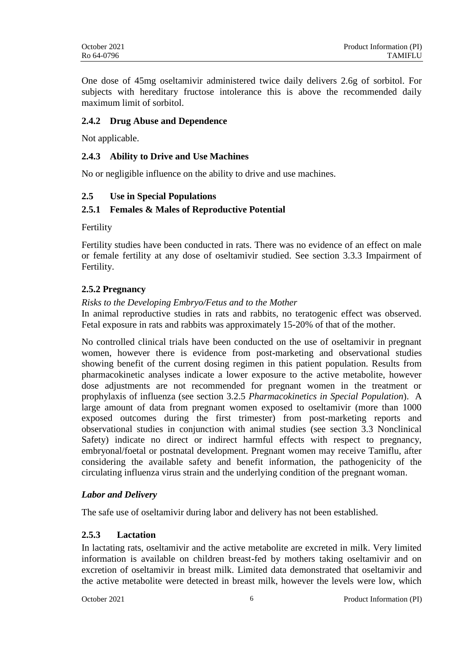One dose of 45mg oseltamivir administered twice daily delivers 2.6g of sorbitol. For subjects with hereditary fructose intolerance this is above the recommended daily maximum limit of sorbitol.

# **2.4.2 Drug Abuse and Dependence**

Not applicable.

# **2.4.3 Ability to Drive and Use Machines**

No or negligible influence on the ability to drive and use machines.

## **2.5 Use in Special Populations**

## **2.5.1 Females & Males of Reproductive Potential**

Fertility

Fertility studies have been conducted in rats. There was no evidence of an effect on male or female fertility at any dose of oseltamivir studied. See section 3.3.3 Impairment of Fertility.

## **2.5.2 Pregnancy**

## *Risks to the Developing Embryo/Fetus and to the Mother*

In animal reproductive studies in rats and rabbits, no teratogenic effect was observed. Fetal exposure in rats and rabbits was approximately 15-20% of that of the mother.

No controlled clinical trials have been conducted on the use of oseltamivir in pregnant women, however there is evidence from post-marketing and observational studies showing benefit of the current dosing regimen in this patient population. Results from pharmacokinetic analyses indicate a lower exposure to the active metabolite, however dose adjustments are not recommended for pregnant women in the treatment or prophylaxis of influenza (see section 3.2.5 *Pharmacokinetics in Special Population*). A large amount of data from pregnant women exposed to oseltamivir (more than 1000 exposed outcomes during the first trimester) from post-marketing reports and observational studies in conjunction with animal studies (see section 3.3 Nonclinical Safety) indicate no direct or indirect harmful effects with respect to pregnancy, embryonal/foetal or postnatal development. Pregnant women may receive Tamiflu, after considering the available safety and benefit information, the pathogenicity of the circulating influenza virus strain and the underlying condition of the pregnant woman.

# *Labor and Delivery*

The safe use of oseltamivir during labor and delivery has not been established.

# **2.5.3 Lactation**

In lactating rats, oseltamivir and the active metabolite are excreted in milk. Very limited information is available on children breast-fed by mothers taking oseltamivir and on excretion of oseltamivir in breast milk. Limited data demonstrated that oseltamivir and the active metabolite were detected in breast milk, however the levels were low, which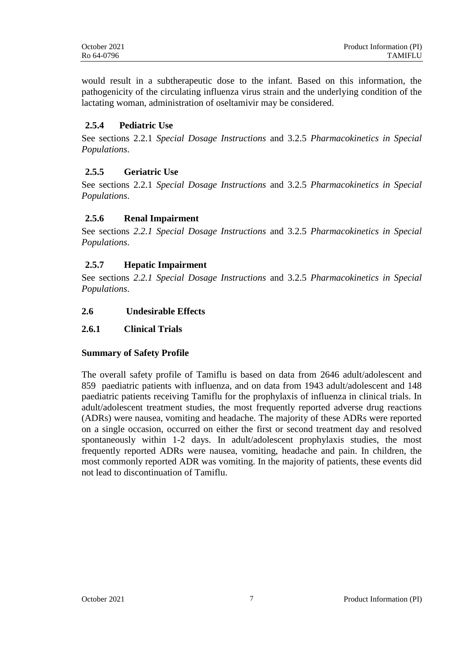would result in a subtherapeutic dose to the infant. Based on this information, the pathogenicity of the circulating influenza virus strain and the underlying condition of the lactating woman, administration of oseltamivir may be considered.

# **2.5.4 Pediatric Use**

See sections 2.2.1 *Special Dosage Instructions* and 3.2.5 *Pharmacokinetics in Special Populations*.

## **2.5.5 Geriatric Use**

See sections 2.2.1 *Special Dosage Instructions* and 3.2.5 *Pharmacokinetics in Special Populations*.

### **2.5.6 Renal Impairment**

See sections *2.2.1 Special Dosage Instructions* and 3.2.5 *Pharmacokinetics in Special Populations*.

## **2.5.7 Hepatic Impairment**

See sections *2.2.1 Special Dosage Instructions* and 3.2.5 *Pharmacokinetics in Special Populations*.

### **2.6 Undesirable Effects**

#### **2.6.1 Clinical Trials**

### **Summary of Safety Profile**

The overall safety profile of Tamiflu is based on data from 2646 adult/adolescent and 859 paediatric patients with influenza, and on data from 1943 adult/adolescent and 148 paediatric patients receiving Tamiflu for the prophylaxis of influenza in clinical trials. In adult/adolescent treatment studies, the most frequently reported adverse drug reactions (ADRs) were nausea, vomiting and headache. The majority of these ADRs were reported on a single occasion, occurred on either the first or second treatment day and resolved spontaneously within 1-2 days. In adult/adolescent prophylaxis studies, the most frequently reported ADRs were nausea, vomiting, headache and pain. In children, the most commonly reported ADR was vomiting. In the majority of patients, these events did not lead to discontinuation of Tamiflu.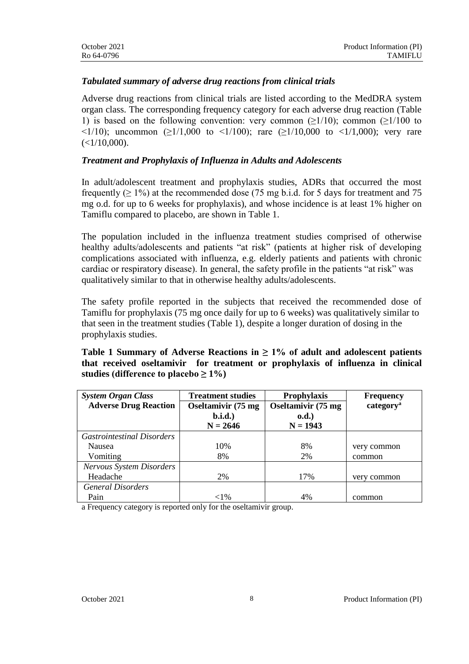## *Tabulated summary of adverse drug reactions from clinical trials*

Adverse drug reactions from clinical trials are listed according to the MedDRA system organ class. The corresponding frequency category for each adverse drug reaction (Table 1) is based on the following convention: very common  $(\geq 1/10)$ ; common  $(\geq 1/100)$  to  $\langle 1/10 \rangle$ ; uncommon ( $\geq 1/1,000$  to  $\langle 1/100 \rangle$ ; rare ( $\geq 1/10,000$  to  $\langle 1/1,000 \rangle$ ; very rare  $(<1/10,000$ ).

## *Treatment and Prophylaxis of Influenza in Adults and Adolescents*

In adult/adolescent treatment and prophylaxis studies, ADRs that occurred the most frequently ( $\geq 1\%$ ) at the recommended dose (75 mg b.i.d. for 5 days for treatment and 75 mg o.d. for up to 6 weeks for prophylaxis), and whose incidence is at least 1% higher on Tamiflu compared to placebo, are shown in Table 1.

The population included in the influenza treatment studies comprised of otherwise healthy adults/adolescents and patients "at risk" (patients at higher risk of developing complications associated with influenza, e.g. elderly patients and patients with chronic cardiac or respiratory disease). In general, the safety profile in the patients "at risk" was qualitatively similar to that in otherwise healthy adults/adolescents.

The safety profile reported in the subjects that received the recommended dose of Tamiflu for prophylaxis (75 mg once daily for up to 6 weeks) was qualitatively similar to that seen in the treatment studies (Table 1), despite a longer duration of dosing in the prophylaxis studies.

## **Table 1 Summary of Adverse Reactions in ≥ 1% of adult and adolescent patients that received oseltamivir for treatment or prophylaxis of influenza in clinical**  studies (difference to placebo ≥  $1\%$ )

| <b>System Organ Class</b>         | <b>Treatment studies</b>   | <b>Prophylaxis</b>         | <b>Frequency</b>      |
|-----------------------------------|----------------------------|----------------------------|-----------------------|
| <b>Adverse Drug Reaction</b>      | <b>Oseltamivir (75 mg)</b> | <b>Oseltamivir (75 mg)</b> | category <sup>a</sup> |
|                                   | b.i.d.                     | 0.d.                       |                       |
|                                   | $N = 2646$                 | $N = 1943$                 |                       |
| <b>Gastrointestinal Disorders</b> |                            |                            |                       |
| <b>Nausea</b>                     | 10%                        | 8%                         | very common           |
| Vomiting                          | 8%                         | 2%                         | common                |
| <b>Nervous System Disorders</b>   |                            |                            |                       |
| Headache                          | 2%                         | 17%                        | very common           |
| <b>General Disorders</b>          |                            |                            |                       |
| Pain                              | ${<}1\%$                   | 4%                         | common                |

a Frequency category is reported only for the oseltamivir group.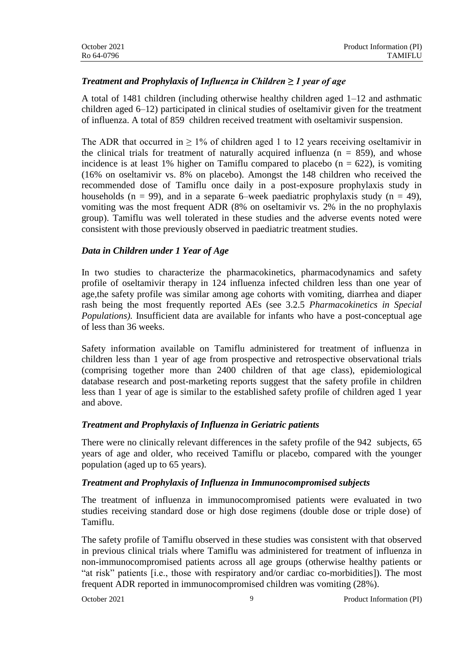# *Treatment and Prophylaxis of Influenza in Children ≥ 1 year of age*

A total of 1481 children (including otherwise healthy children aged 1–12 and asthmatic children aged 6–12) participated in clinical studies of oseltamivir given for the treatment of influenza. A total of 859 children received treatment with oseltamivir suspension.

The ADR that occurred in  $\geq 1\%$  of children aged 1 to 12 years receiving oseltamivir in the clinical trials for treatment of naturally acquired influenza ( $n = 859$ ), and whose incidence is at least 1% higher on Tamiflu compared to placebo  $(n = 622)$ , is vomiting (16% on oseltamivir vs. 8% on placebo). Amongst the 148 children who received the recommended dose of Tamiflu once daily in a post-exposure prophylaxis study in households ( $n = 99$ ), and in a separate 6–week paediatric prophylaxis study ( $n = 49$ ), vomiting was the most frequent ADR (8% on oseltamivir vs. 2% in the no prophylaxis group). Tamiflu was well tolerated in these studies and the adverse events noted were consistent with those previously observed in paediatric treatment studies.

### *Data in Children under 1 Year of Age*

In two studies to characterize the pharmacokinetics, pharmacodynamics and safety profile of oseltamivir therapy in 124 influenza infected children less than one year of age,the safety profile was similar among age cohorts with vomiting, diarrhea and diaper rash being the most frequently reported AEs (see 3.2.5 *Pharmacokinetics in Special Populations*). Insufficient data are available for infants who have a post-conceptual age of less than 36 weeks.

Safety information available on Tamiflu administered for treatment of influenza in children less than 1 year of age from prospective and retrospective observational trials (comprising together more than 2400 children of that age class), epidemiological database research and post-marketing reports suggest that the safety profile in children less than 1 year of age is similar to the established safety profile of children aged 1 year and above.

### *Treatment and Prophylaxis of Influenza in Geriatric patients*

There were no clinically relevant differences in the safety profile of the 942 subjects, 65 years of age and older, who received Tamiflu or placebo, compared with the younger population (aged up to 65 years).

### *Treatment and Prophylaxis of Influenza in Immunocompromised subjects*

The treatment of influenza in immunocompromised patients were evaluated in two studies receiving standard dose or high dose regimens (double dose or triple dose) of Tamiflu.

The safety profile of Tamiflu observed in these studies was consistent with that observed in previous clinical trials where Tamiflu was administered for treatment of influenza in non-immunocompromised patients across all age groups (otherwise healthy patients or "at risk" patients [i.e., those with respiratory and/or cardiac co-morbidities]). The most frequent ADR reported in immunocompromised children was vomiting (28%).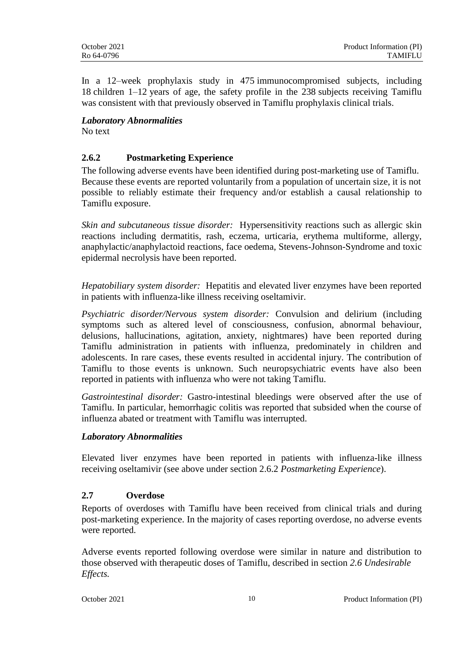In a 12–week prophylaxis study in 475 immunocompromised subjects, including 18 children 1–12 years of age, the safety profile in the 238 subjects receiving Tamiflu was consistent with that previously observed in Tamiflu prophylaxis clinical trials.

# *Laboratory Abnormalities*

No text

# **2.6.2 Postmarketing Experience**

The following adverse events have been identified during post-marketing use of Tamiflu. Because these events are reported voluntarily from a population of uncertain size, it is not possible to reliably estimate their frequency and/or establish a causal relationship to Tamiflu exposure.

*Skin and subcutaneous tissue disorder:* Hypersensitivity reactions such as allergic skin reactions including dermatitis, rash, eczema, urticaria, erythema multiforme, allergy, anaphylactic/anaphylactoid reactions, face oedema, Stevens-Johnson-Syndrome and toxic epidermal necrolysis have been reported.

*Hepatobiliary system disorder:* Hepatitis and elevated liver enzymes have been reported in patients with influenza-like illness receiving oseltamivir.

*Psychiatric disorder/Nervous system disorder:* Convulsion and delirium (including symptoms such as altered level of consciousness, confusion, abnormal behaviour, delusions, hallucinations, agitation, anxiety, nightmares) have been reported during Tamiflu administration in patients with influenza, predominately in children and adolescents. In rare cases, these events resulted in accidental injury. The contribution of Tamiflu to those events is unknown. Such neuropsychiatric events have also been reported in patients with influenza who were not taking Tamiflu.

*Gastrointestinal disorder:* Gastro-intestinal bleedings were observed after the use of Tamiflu. In particular, hemorrhagic colitis was reported that subsided when the course of influenza abated or treatment with Tamiflu was interrupted.

# *Laboratory Abnormalities*

Elevated liver enzymes have been reported in patients with influenza-like illness receiving oseltamivir (see above under section 2.6.2 *Postmarketing Experience*).

# **2.7 Overdose**

Reports of overdoses with Tamiflu have been received from clinical trials and during post-marketing experience. In the majority of cases reporting overdose, no adverse events were reported.

Adverse events reported following overdose were similar in nature and distribution to those observed with therapeutic doses of Tamiflu, described in section *2.6 Undesirable Effects.*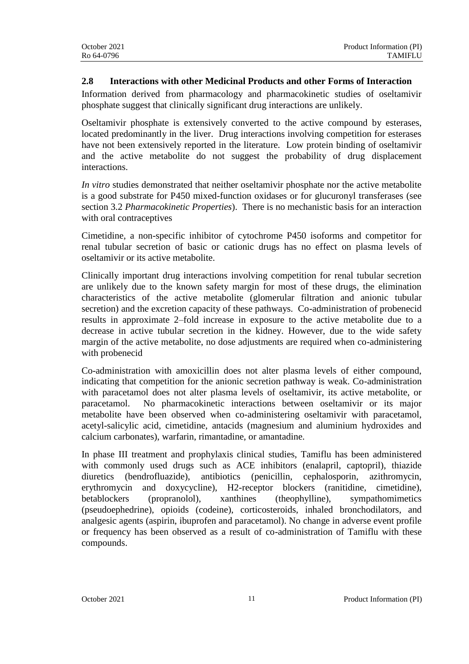## **2.8 Interactions with other Medicinal Products and other Forms of Interaction**

Information derived from pharmacology and pharmacokinetic studies of oseltamivir phosphate suggest that clinically significant drug interactions are unlikely.

Oseltamivir phosphate is extensively converted to the active compound by esterases, located predominantly in the liver. Drug interactions involving competition for esterases have not been extensively reported in the literature. Low protein binding of oseltamivir and the active metabolite do not suggest the probability of drug displacement interactions.

*In vitro* studies demonstrated that neither oseltamivir phosphate nor the active metabolite is a good substrate for P450 mixed-function oxidases or for glucuronyl transferases (see section 3.2 *Pharmacokinetic Properties*). There is no mechanistic basis for an interaction with oral contraceptives

Cimetidine, a non-specific inhibitor of cytochrome P450 isoforms and competitor for renal tubular secretion of basic or cationic drugs has no effect on plasma levels of oseltamivir or its active metabolite.

Clinically important drug interactions involving competition for renal tubular secretion are unlikely due to the known safety margin for most of these drugs, the elimination characteristics of the active metabolite (glomerular filtration and anionic tubular secretion) and the excretion capacity of these pathways. Co-administration of probenecid results in approximate 2–fold increase in exposure to the active metabolite due to a decrease in active tubular secretion in the kidney. However, due to the wide safety margin of the active metabolite, no dose adjustments are required when co-administering with probenecid

Co-administration with amoxicillin does not alter plasma levels of either compound, indicating that competition for the anionic secretion pathway is weak. Co-administration with paracetamol does not alter plasma levels of oseltamivir, its active metabolite, or paracetamol. No pharmacokinetic interactions between oseltamivir or its major metabolite have been observed when co-administering oseltamivir with paracetamol, acetyl-salicylic acid, cimetidine, antacids (magnesium and aluminium hydroxides and calcium carbonates), warfarin, rimantadine, or amantadine.

In phase III treatment and prophylaxis clinical studies, Tamiflu has been administered with commonly used drugs such as ACE inhibitors (enalapril, captopril), thiazide diuretics (bendrofluazide), antibiotics (penicillin, cephalosporin, azithromycin, erythromycin and doxycycline), H2-receptor blockers (ranitidine, cimetidine), betablockers (propranolol), xanthines (theophylline), sympathomimetics (pseudoephedrine), opioids (codeine), corticosteroids, inhaled bronchodilators, and analgesic agents (aspirin, ibuprofen and paracetamol). No change in adverse event profile or frequency has been observed as a result of co-administration of Tamiflu with these compounds.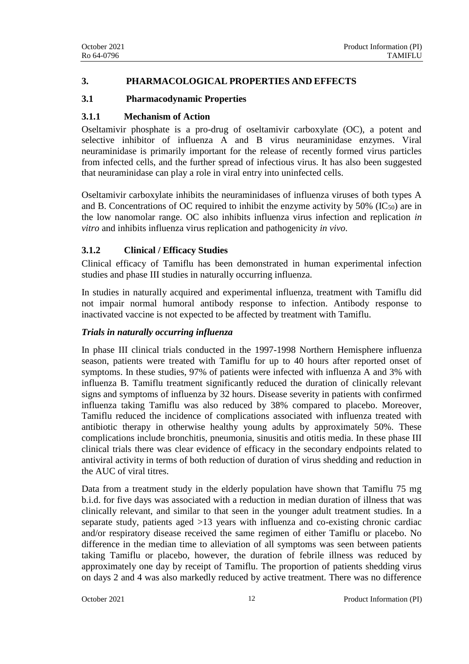## **3. PHARMACOLOGICAL PROPERTIES AND EFFECTS**

## **3.1 Pharmacodynamic Properties**

## **3.1.1 Mechanism of Action**

Oseltamivir phosphate is a pro-drug of oseltamivir carboxylate (OC), a potent and selective inhibitor of influenza A and B virus neuraminidase enzymes. Viral neuraminidase is primarily important for the release of recently formed virus particles from infected cells, and the further spread of infectious virus. It has also been suggested that neuraminidase can play a role in viral entry into uninfected cells.

Oseltamivir carboxylate inhibits the neuraminidases of influenza viruses of both types A and B. Concentrations of OC required to inhibit the enzyme activity by  $50\%$  (IC<sub>50</sub>) are in the low nanomolar range. OC also inhibits influenza virus infection and replication *in vitro* and inhibits influenza virus replication and pathogenicity *in vivo*.

# **3.1.2 Clinical / Efficacy Studies**

Clinical efficacy of Tamiflu has been demonstrated in human experimental infection studies and phase III studies in naturally occurring influenza.

In studies in naturally acquired and experimental influenza, treatment with Tamiflu did not impair normal humoral antibody response to infection. Antibody response to inactivated vaccine is not expected to be affected by treatment with Tamiflu.

### *Trials in naturally occurring influenza*

In phase III clinical trials conducted in the 1997-1998 Northern Hemisphere influenza season, patients were treated with Tamiflu for up to 40 hours after reported onset of symptoms. In these studies, 97% of patients were infected with influenza A and 3% with influenza B. Tamiflu treatment significantly reduced the duration of clinically relevant signs and symptoms of influenza by 32 hours. Disease severity in patients with confirmed influenza taking Tamiflu was also reduced by 38% compared to placebo. Moreover, Tamiflu reduced the incidence of complications associated with influenza treated with antibiotic therapy in otherwise healthy young adults by approximately 50%. These complications include bronchitis, pneumonia, sinusitis and otitis media. In these phase III clinical trials there was clear evidence of efficacy in the secondary endpoints related to antiviral activity in terms of both reduction of duration of virus shedding and reduction in the AUC of viral titres.

Data from a treatment study in the elderly population have shown that Tamiflu 75 mg b.i.d. for five days was associated with a reduction in median duration of illness that was clinically relevant, and similar to that seen in the younger adult treatment studies. In a separate study, patients aged >13 years with influenza and co-existing chronic cardiac and/or respiratory disease received the same regimen of either Tamiflu or placebo. No difference in the median time to alleviation of all symptoms was seen between patients taking Tamiflu or placebo, however, the duration of febrile illness was reduced by approximately one day by receipt of Tamiflu. The proportion of patients shedding virus on days 2 and 4 was also markedly reduced by active treatment. There was no difference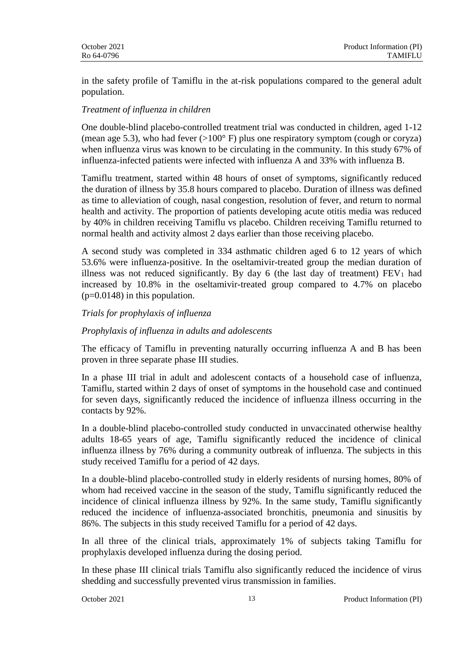in the safety profile of Tamiflu in the at-risk populations compared to the general adult population.

# *Treatment of influenza in children*

One double-blind placebo-controlled treatment trial was conducted in children, aged 1-12 (mean age 5.3), who had fever  $(>100^{\circ}$  F) plus one respiratory symptom (cough or coryza) when influenza virus was known to be circulating in the community. In this study 67% of influenza-infected patients were infected with influenza A and 33% with influenza B.

Tamiflu treatment, started within 48 hours of onset of symptoms, significantly reduced the duration of illness by 35.8 hours compared to placebo. Duration of illness was defined as time to alleviation of cough, nasal congestion, resolution of fever, and return to normal health and activity. The proportion of patients developing acute otitis media was reduced by 40% in children receiving Tamiflu vs placebo. Children receiving Tamiflu returned to normal health and activity almost 2 days earlier than those receiving placebo.

A second study was completed in 334 asthmatic children aged 6 to 12 years of which 53.6% were influenza-positive. In the oseltamivir-treated group the median duration of illness was not reduced significantly. By day 6 (the last day of treatment)  $FEV<sub>1</sub>$  had increased by 10.8% in the oseltamivir-treated group compared to 4.7% on placebo  $(p=0.0148)$  in this population.

# *Trials for prophylaxis of influenza*

## *Prophylaxis of influenza in adults and adolescents*

The efficacy of Tamiflu in preventing naturally occurring influenza A and B has been proven in three separate phase III studies.

In a phase III trial in adult and adolescent contacts of a household case of influenza, Tamiflu, started within 2 days of onset of symptoms in the household case and continued for seven days, significantly reduced the incidence of influenza illness occurring in the contacts by 92%.

In a double-blind placebo-controlled study conducted in unvaccinated otherwise healthy adults 18-65 years of age, Tamiflu significantly reduced the incidence of clinical influenza illness by 76% during a community outbreak of influenza. The subjects in this study received Tamiflu for a period of 42 days.

In a double-blind placebo-controlled study in elderly residents of nursing homes, 80% of whom had received vaccine in the season of the study, Tamiflu significantly reduced the incidence of clinical influenza illness by 92%. In the same study, Tamiflu significantly reduced the incidence of influenza-associated bronchitis, pneumonia and sinusitis by 86%. The subjects in this study received Tamiflu for a period of 42 days.

In all three of the clinical trials, approximately 1% of subjects taking Tamiflu for prophylaxis developed influenza during the dosing period.

In these phase III clinical trials Tamiflu also significantly reduced the incidence of virus shedding and successfully prevented virus transmission in families.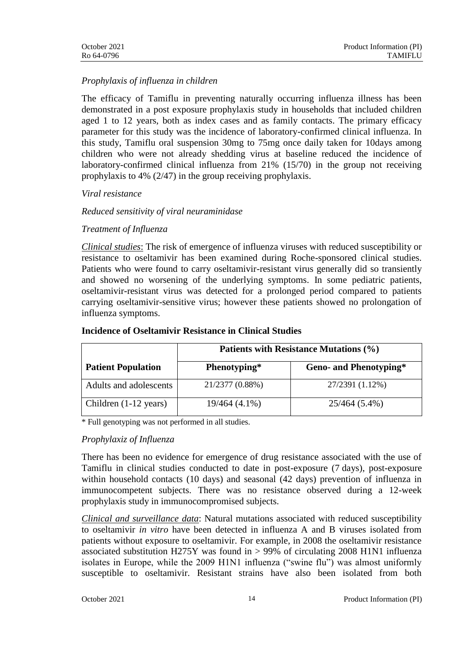# *Prophylaxis of influenza in children*

The efficacy of Tamiflu in preventing naturally occurring influenza illness has been demonstrated in a post exposure prophylaxis study in households that included children aged 1 to 12 years, both as index cases and as family contacts. The primary efficacy parameter for this study was the incidence of laboratory-confirmed clinical influenza. In this study, Tamiflu oral suspension 30mg to 75mg once daily taken for 10days among children who were not already shedding virus at baseline reduced the incidence of laboratory-confirmed clinical influenza from 21% (15/70) in the group not receiving prophylaxis to 4% (2/47) in the group receiving prophylaxis.

## *Viral resistance*

# *Reduced sensitivity of viral neuraminidase*

# *Treatment of Influenza*

*Clinical studies*: The risk of emergence of influenza viruses with reduced susceptibility or resistance to oseltamivir has been examined during Roche-sponsored clinical studies. Patients who were found to carry oseltamivir-resistant virus generally did so transiently and showed no worsening of the underlying symptoms. In some pediatric patients, oseltamivir-resistant virus was detected for a prolonged period compared to patients carrying oseltamivir-sensitive virus; however these patients showed no prolongation of influenza symptoms.

|                                 | Patients with Resistance Mutations (%) |                               |  |  |
|---------------------------------|----------------------------------------|-------------------------------|--|--|
| <b>Patient Population</b>       | Phenotyping*                           | <b>Geno- and Phenotyping*</b> |  |  |
| Adults and adolescents          | 21/2377 (0.88%)                        | 27/2391 (1.12%)               |  |  |
| Children $(1-12 \text{ years})$ | $19/464(4.1\%)$                        | 25/464 (5.4%)                 |  |  |

#### **Incidence of Oseltamivir Resistance in Clinical Studies**

\* Full genotyping was not performed in all studies.

# *Prophylaxiz of Influenza*

There has been no evidence for emergence of drug resistance associated with the use of Tamiflu in clinical studies conducted to date in post-exposure (7 days), post-exposure within household contacts (10 days) and seasonal (42 days) prevention of influenza in immunocompetent subjects. There was no resistance observed during a 12-week prophylaxis study in immunocompromised subjects.

*Clinical and surveillance data*: Natural mutations associated with reduced susceptibility to oseltamivir *in vitro* have been detected in influenza A and B viruses isolated from patients without exposure to oseltamivir. For example, in 2008 the oseltamivir resistance associated substitution H275Y was found in > 99% of circulating 2008 H1N1 influenza isolates in Europe, while the 2009 H1N1 influenza ("swine flu") was almost uniformly susceptible to oseltamivir. Resistant strains have also been isolated from both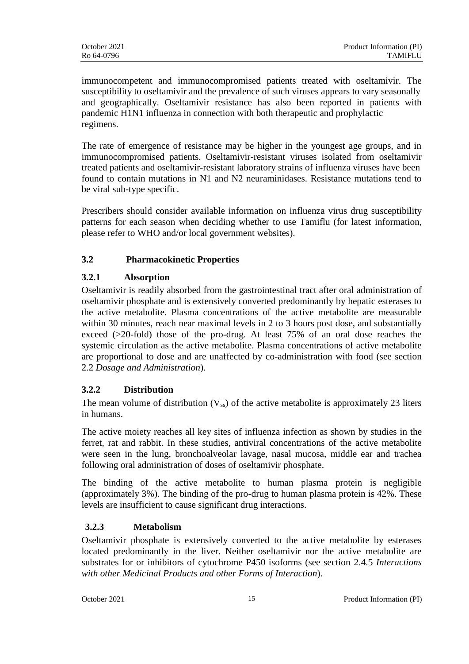immunocompetent and immunocompromised patients treated with oseltamivir. The susceptibility to oseltamivir and the prevalence of such viruses appears to vary seasonally and geographically. Oseltamivir resistance has also been reported in patients with pandemic H1N1 influenza in connection with both therapeutic and prophylactic regimens.

The rate of emergence of resistance may be higher in the youngest age groups, and in immunocompromised patients. Oseltamivir-resistant viruses isolated from oseltamivir treated patients and oseltamivir-resistant laboratory strains of influenza viruses have been found to contain mutations in N1 and N2 neuraminidases. Resistance mutations tend to be viral sub-type specific.

Prescribers should consider available information on influenza virus drug susceptibility patterns for each season when deciding whether to use Tamiflu (for latest information, please refer to WHO and/or local government websites).

# **3.2 Pharmacokinetic Properties**

# **3.2.1 Absorption**

Oseltamivir is readily absorbed from the gastrointestinal tract after oral administration of oseltamivir phosphate and is extensively converted predominantly by hepatic esterases to the active metabolite. Plasma concentrations of the active metabolite are measurable within 30 minutes, reach near maximal levels in 2 to 3 hours post dose, and substantially exceed (>20-fold) those of the pro-drug. At least 75% of an oral dose reaches the systemic circulation as the active metabolite. Plasma concentrations of active metabolite are proportional to dose and are unaffected by co-administration with food (see section 2.2 *Dosage and Administration*).

# **3.2.2 Distribution**

The mean volume of distribution  $(V_{ss})$  of the active metabolite is approximately 23 liters in humans.

The active moiety reaches all key sites of influenza infection as shown by studies in the ferret, rat and rabbit. In these studies, antiviral concentrations of the active metabolite were seen in the lung, bronchoalveolar lavage, nasal mucosa, middle ear and trachea following oral administration of doses of oseltamivir phosphate.

The binding of the active metabolite to human plasma protein is negligible (approximately 3%). The binding of the pro-drug to human plasma protein is 42%. These levels are insufficient to cause significant drug interactions.

# **3.2.3 Metabolism**

Oseltamivir phosphate is extensively converted to the active metabolite by esterases located predominantly in the liver. Neither oseltamivir nor the active metabolite are substrates for or inhibitors of cytochrome P450 isoforms (see section 2.4.5 *Interactions with other Medicinal Products and other Forms of Interaction*).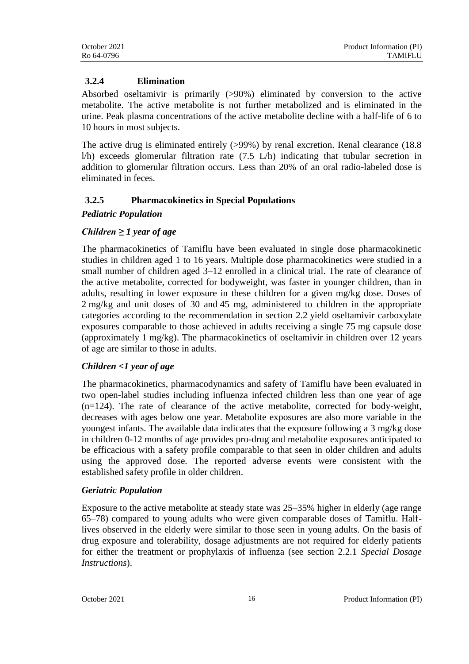# **3.2.4 Elimination**

Absorbed oseltamivir is primarily (>90%) eliminated by conversion to the active metabolite. The active metabolite is not further metabolized and is eliminated in the urine. Peak plasma concentrations of the active metabolite decline with a half-life of 6 to 10 hours in most subjects.

The active drug is eliminated entirely (>99%) by renal excretion. Renal clearance (18.8 l/h) exceeds glomerular filtration rate (7.5 L/h) indicating that tubular secretion in addition to glomerular filtration occurs. Less than 20% of an oral radio-labeled dose is eliminated in feces.

# **3.2.5 Pharmacokinetics in Special Populations**

# *Pediatric Population*

# *Children ≥ 1 year of age*

The pharmacokinetics of Tamiflu have been evaluated in single dose pharmacokinetic studies in children aged 1 to 16 years. Multiple dose pharmacokinetics were studied in a small number of children aged 3–12 enrolled in a clinical trial. The rate of clearance of the active metabolite, corrected for bodyweight, was faster in younger children, than in adults, resulting in lower exposure in these children for a given mg/kg dose. Doses of 2 mg/kg and unit doses of 30 and 45 mg, administered to children in the appropriate categories according to the recommendation in section 2.2 yield oseltamivir carboxylate exposures comparable to those achieved in adults receiving a single 75 mg capsule dose (approximately 1 mg/kg). The pharmacokinetics of oseltamivir in children over 12 years of age are similar to those in adults.

# *Children <1 year of age*

The pharmacokinetics, pharmacodynamics and safety of Tamiflu have been evaluated in two open-label studies including influenza infected children less than one year of age (n=124). The rate of clearance of the active metabolite, corrected for body-weight, decreases with ages below one year. Metabolite exposures are also more variable in the youngest infants. The available data indicates that the exposure following a 3 mg/kg dose in children 0-12 months of age provides pro-drug and metabolite exposures anticipated to be efficacious with a safety profile comparable to that seen in older children and adults using the approved dose. The reported adverse events were consistent with the established safety profile in older children.

# *Geriatric Population*

Exposure to the active metabolite at steady state was 25–35% higher in elderly (age range 65–78) compared to young adults who were given comparable doses of Tamiflu. Halflives observed in the elderly were similar to those seen in young adults. On the basis of drug exposure and tolerability, dosage adjustments are not required for elderly patients for either the treatment or prophylaxis of influenza (see section 2.2.1 *Special Dosage Instructions*).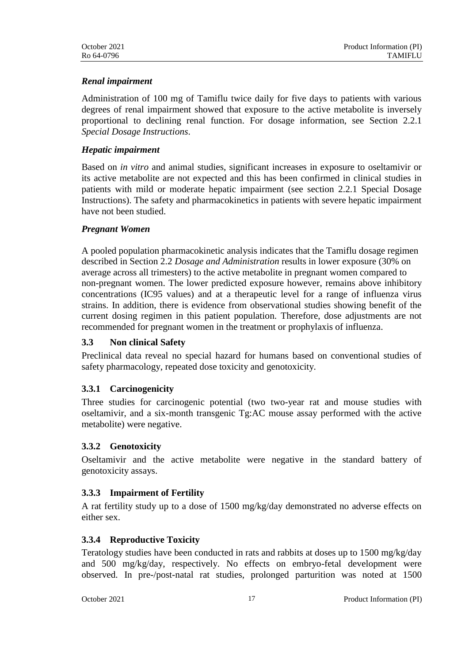## *Renal impairment*

Administration of 100 mg of Tamiflu twice daily for five days to patients with various degrees of renal impairment showed that exposure to the active metabolite is inversely proportional to declining renal function. For dosage information, see Section 2.2.1 *Special Dosage Instructions*.

# *Hepatic impairment*

Based on *in vitro* and animal studies, significant increases in exposure to oseltamivir or its active metabolite are not expected and this has been confirmed in clinical studies in patients with mild or moderate hepatic impairment (see section 2.2.1 Special Dosage Instructions). The safety and pharmacokinetics in patients with severe hepatic impairment have not been studied.

## *Pregnant Women*

A pooled population pharmacokinetic analysis indicates that the Tamiflu dosage regimen described in Section 2.2 *Dosage and Administration* results in lower exposure (30% on average across all trimesters) to the active metabolite in pregnant women compared to non-pregnant women. The lower predicted exposure however, remains above inhibitory concentrations (IC95 values) and at a therapeutic level for a range of influenza virus strains. In addition, there is evidence from observational studies showing benefit of the current dosing regimen in this patient population. Therefore, dose adjustments are not recommended for pregnant women in the treatment or prophylaxis of influenza.

### **3.3 Non clinical Safety**

Preclinical data reveal no special hazard for humans based on conventional studies of safety pharmacology, repeated dose toxicity and genotoxicity.

### **3.3.1 Carcinogenicity**

Three studies for carcinogenic potential (two two-year rat and mouse studies with oseltamivir, and a six-month transgenic Tg:AC mouse assay performed with the active metabolite) were negative.

# **3.3.2 Genotoxicity**

Oseltamivir and the active metabolite were negative in the standard battery of genotoxicity assays.

# **3.3.3 Impairment of Fertility**

A rat fertility study up to a dose of 1500 mg/kg/day demonstrated no adverse effects on either sex.

# **3.3.4 Reproductive Toxicity**

Teratology studies have been conducted in rats and rabbits at doses up to 1500 mg/kg/day and 500 mg/kg/day, respectively. No effects on embryo-fetal development were observed. In pre-/post-natal rat studies, prolonged parturition was noted at 1500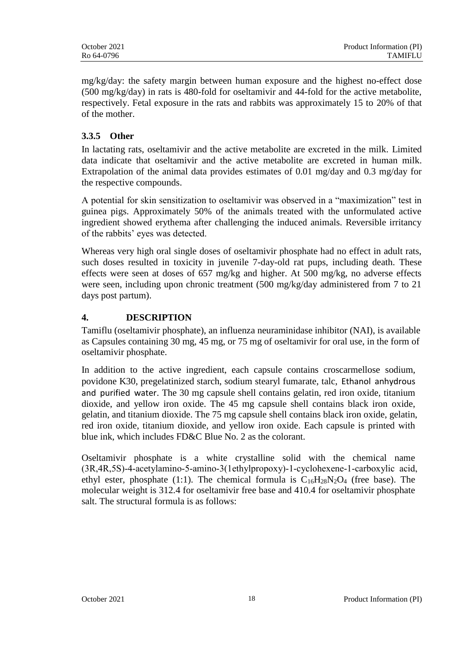mg/kg/day: the safety margin between human exposure and the highest no-effect dose (500 mg/kg/day) in rats is 480-fold for oseltamivir and 44-fold for the active metabolite, respectively. Fetal exposure in the rats and rabbits was approximately 15 to 20% of that of the mother.

# **3.3.5 Other**

In lactating rats, oseltamivir and the active metabolite are excreted in the milk. Limited data indicate that oseltamivir and the active metabolite are excreted in human milk. Extrapolation of the animal data provides estimates of 0.01 mg/day and 0.3 mg/day for the respective compounds.

A potential for skin sensitization to oseltamivir was observed in a "maximization" test in guinea pigs. Approximately 50% of the animals treated with the unformulated active ingredient showed erythema after challenging the induced animals. Reversible irritancy of the rabbits' eyes was detected.

Whereas very high oral single doses of oseltamivir phosphate had no effect in adult rats, such doses resulted in toxicity in juvenile 7-day-old rat pups, including death. These effects were seen at doses of 657 mg/kg and higher. At 500 mg/kg, no adverse effects were seen, including upon chronic treatment (500 mg/kg/day administered from 7 to 21 days post partum).

# **4. DESCRIPTION**

Tamiflu (oseltamivir phosphate), an influenza neuraminidase inhibitor (NAI), is available as Capsules containing 30 mg, 45 mg, or 75 mg of oseltamivir for oral use, in the form of oseltamivir phosphate.

In addition to the active ingredient, each capsule contains croscarmellose sodium, povidone K30, pregelatinized starch, sodium stearyl fumarate, talc, Ethanol anhydrous and purified water. The 30 mg capsule shell contains gelatin, red iron oxide, titanium dioxide, and yellow iron oxide. The 45 mg capsule shell contains black iron oxide, gelatin, and titanium dioxide. The 75 mg capsule shell contains black iron oxide, gelatin, red iron oxide, titanium dioxide, and yellow iron oxide. Each capsule is printed with blue ink, which includes FD&C Blue No. 2 as the colorant.

Oseltamivir phosphate is a white crystalline solid with the chemical name (3R,4R,5S)‐4‐acetylamino‐5‐amino‐3(1ethylpropoxy)‐1‐cyclohexene‐1‐carboxylic acid, ethyl ester, phosphate (1:1). The chemical formula is  $C_{16}H_{28}N_2O_4$  (free base). The molecular weight is 312.4 for oseltamivir free base and 410.4 for oseltamivir phosphate salt. The structural formula is as follows: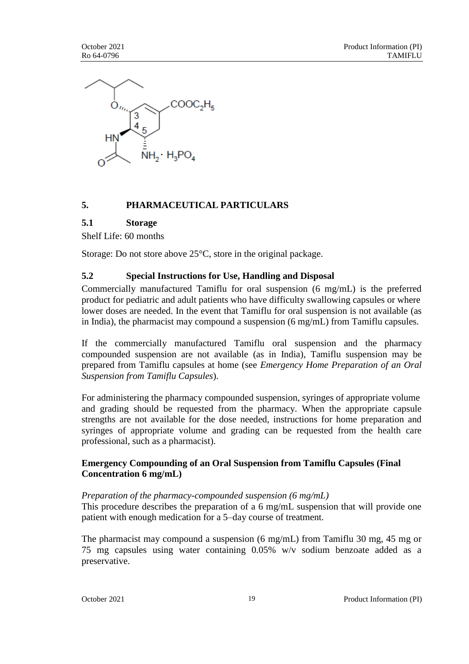

# **5. PHARMACEUTICAL PARTICULARS**

### **5.1 Storage**

Shelf Life: 60 months

Storage: Do not store above 25°C, store in the original package.

## **5.2 Special Instructions for Use, Handling and Disposal**

Commercially manufactured Tamiflu for oral suspension (6 mg/mL) is the preferred product for pediatric and adult patients who have difficulty swallowing capsules or where lower doses are needed. In the event that Tamiflu for oral suspension is not available (as in India), the pharmacist may compound a suspension (6 mg/mL) from Tamiflu capsules.

If the commercially manufactured Tamiflu oral suspension and the pharmacy compounded suspension are not available (as in India), Tamiflu suspension may be prepared from Tamiflu capsules at home (see *Emergency Home Preparation of an Oral Suspension from Tamiflu Capsules*).

For administering the pharmacy compounded suspension, syringes of appropriate volume and grading should be requested from the pharmacy. When the appropriate capsule strengths are not available for the dose needed, instructions for home preparation and syringes of appropriate volume and grading can be requested from the health care professional, such as a pharmacist).

## **Emergency Compounding of an Oral Suspension from Tamiflu Capsules (Final Concentration 6 mg/mL)**

### *Preparation of the pharmacy-compounded suspension (6 mg/mL)*

This procedure describes the preparation of a 6 mg/mL suspension that will provide one patient with enough medication for a 5–day course of treatment.

The pharmacist may compound a suspension (6 mg/mL) from Tamiflu 30 mg, 45 mg or 75 mg capsules using water containing 0.05% w/v sodium benzoate added as a preservative.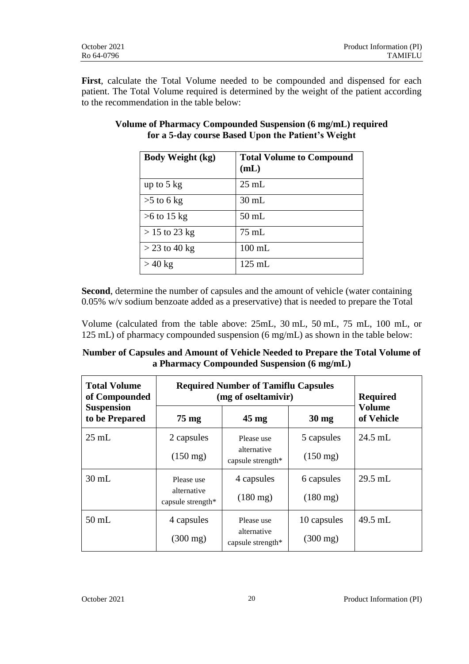**First**, calculate the Total Volume needed to be compounded and dispensed for each patient. The Total Volume required is determined by the weight of the patient according to the recommendation in the table below:

| <b>Body Weight (kg)</b> | <b>Total Volume to Compound</b><br>(mL) |
|-------------------------|-----------------------------------------|
| up to $5 \text{ kg}$    | $25 \text{ mL}$                         |
| $>5$ to 6 kg            | $30 \text{ mL}$                         |
| $>6$ to 15 kg           | $50$ mL                                 |
| $> 15$ to 23 kg         | $75 \text{ mL}$                         |
| $>$ 23 to 40 kg         | $100$ mL                                |
| $>40$ kg                | $125$ mL                                |

# **Volume of Pharmacy Compounded Suspension (6 mg/mL) required for a 5-day course Based Upon the Patient's Weight**

**Second**, determine the number of capsules and the amount of vehicle (water containing 0.05% w/v sodium benzoate added as a preservative) that is needed to prepare the Total

Volume (calculated from the table above: 25mL, 30 mL, 50 mL, 75 mL, 100 mL, or 125 mL) of pharmacy compounded suspension (6 mg/mL) as shown in the table below:

| Number of Capsules and Amount of Vehicle Needed to Prepare the Total Volume of |  |
|--------------------------------------------------------------------------------|--|
| a Pharmacy Compounded Suspension (6 mg/mL)                                     |  |

| <b>Total Volume</b><br>of Compounded | <b>Required Number of Tamiflu Capsules</b><br>(mg of oseltamivir) |                                  |                    | <b>Required</b>             |
|--------------------------------------|-------------------------------------------------------------------|----------------------------------|--------------------|-----------------------------|
| <b>Suspension</b><br>to be Prepared  | $75 \text{ mg}$                                                   | $45 \text{ mg}$                  | $30 \text{ mg}$    | <b>Volume</b><br>of Vehicle |
| $25 \text{ mL}$                      | 2 capsules                                                        | Please use                       | 5 capsules         | $24.5$ mL                   |
|                                      | $(150 \text{ mg})$                                                | alternative<br>capsule strength* | $(150 \text{ mg})$ |                             |
| $30 \text{ mL}$                      | Please use                                                        | 4 capsules                       | 6 capsules         | $29.5$ mL                   |
|                                      | alternative<br>capsule strength*                                  | $(180 \text{ mg})$               | $(180 \text{ mg})$ |                             |
| $50$ mL                              | 4 capsules                                                        | Please use                       | 10 capsules        | 49.5 mL                     |
|                                      | $(300 \text{ mg})$                                                | alternative<br>capsule strength* | $(300 \text{ mg})$ |                             |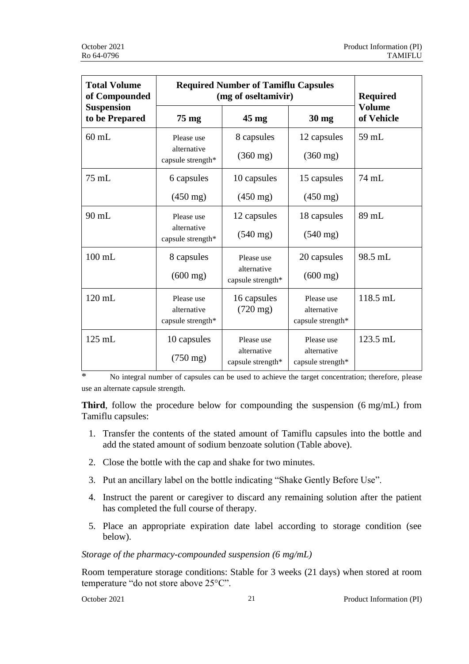| <b>Total Volume</b><br>of Compounded | <b>Required Number of Tamiflu Capsules</b><br>(mg of oseltamivir) |                                                |                                                | <b>Required</b>             |
|--------------------------------------|-------------------------------------------------------------------|------------------------------------------------|------------------------------------------------|-----------------------------|
| <b>Suspension</b><br>to be Prepared  | 75 mg                                                             | $45 \text{ mg}$                                | 30 mg                                          | <b>Volume</b><br>of Vehicle |
| $60$ mL                              | Please use<br>alternative<br>capsule strength*                    | 8 capsules<br>$(360 \text{ mg})$               | 12 capsules<br>$(360 \text{ mg})$              | 59 mL                       |
| $75$ mL                              | 6 capsules<br>$(450 \text{ mg})$                                  | 10 capsules<br>$(450 \text{ mg})$              | 15 capsules<br>$(450 \text{ mg})$              | 74 mL                       |
| $90$ mL                              | Please use<br>alternative<br>capsule strength*                    | 12 capsules<br>$(540 \text{ mg})$              | 18 capsules<br>$(540 \text{ mg})$              | 89 mL                       |
| $100$ mL                             | 8 capsules<br>$(600 \text{ mg})$                                  | Please use<br>alternative<br>capsule strength* | 20 capsules<br>$(600 \text{ mg})$              | 98.5 mL                     |
| $120$ mL                             | Please use<br>alternative<br>capsule strength*                    | 16 capsules<br>$(720 \text{ mg})$              | Please use<br>alternative<br>capsule strength* | 118.5 mL                    |
| 125 mL                               | 10 capsules<br>$(750 \text{ mg})$                                 | Please use<br>alternative<br>capsule strength* | Please use<br>alternative<br>capsule strength* | 123.5 mL                    |

\* No integral number of capsules can be used to achieve the target concentration; therefore, please use an alternate capsule strength.

**Third**, follow the procedure below for compounding the suspension (6 mg/mL) from Tamiflu capsules:

- 1. Transfer the contents of the stated amount of Tamiflu capsules into the bottle and add the stated amount of sodium benzoate solution (Table above).
- 2. Close the bottle with the cap and shake for two minutes.
- 3. Put an ancillary label on the bottle indicating "Shake Gently Before Use".
- 4. Instruct the parent or caregiver to discard any remaining solution after the patient has completed the full course of therapy.
- 5. Place an appropriate expiration date label according to storage condition (see below).

### *Storage of the pharmacy-compounded suspension (6 mg/mL)*

Room temperature storage conditions: Stable for 3 weeks (21 days) when stored at room temperature "do not store above 25°C".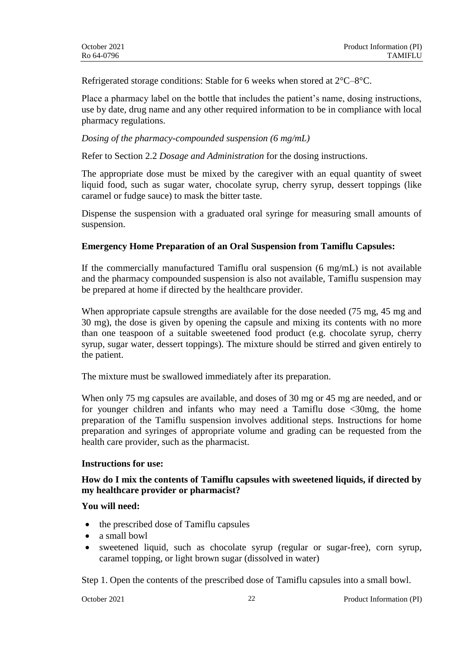Refrigerated storage conditions: Stable for 6 weeks when stored at 2°C–8°C.

Place a pharmacy label on the bottle that includes the patient's name, dosing instructions, use by date, drug name and any other required information to be in compliance with local pharmacy regulations.

*Dosing of the pharmacy-compounded suspension (6 mg/mL)*

Refer to Section 2.2 *Dosage and Administration* for the dosing instructions.

The appropriate dose must be mixed by the caregiver with an equal quantity of sweet liquid food, such as sugar water, chocolate syrup, cherry syrup, dessert toppings (like caramel or fudge sauce) to mask the bitter taste.

Dispense the suspension with a graduated oral syringe for measuring small amounts of suspension.

### **Emergency Home Preparation of an Oral Suspension from Tamiflu Capsules:**

If the commercially manufactured Tamiflu oral suspension (6 mg/mL) is not available and the pharmacy compounded suspension is also not available, Tamiflu suspension may be prepared at home if directed by the healthcare provider.

When appropriate capsule strengths are available for the dose needed (75 mg, 45 mg and 30 mg), the dose is given by opening the capsule and mixing its contents with no more than one teaspoon of a suitable sweetened food product (e.g. chocolate syrup, cherry syrup, sugar water, dessert toppings). The mixture should be stirred and given entirely to the patient.

The mixture must be swallowed immediately after its preparation.

When only 75 mg capsules are available, and doses of 30 mg or 45 mg are needed, and or for younger children and infants who may need a Tamiflu dose <30mg, the home preparation of the Tamiflu suspension involves additional steps. Instructions for home preparation and syringes of appropriate volume and grading can be requested from the health care provider, such as the pharmacist.

### **Instructions for use:**

## **How do I mix the contents of Tamiflu capsules with sweetened liquids, if directed by my healthcare provider or pharmacist?**

#### **You will need:**

- the prescribed dose of Tamiflu capsules
- a small bowl
- sweetened liquid, such as chocolate syrup (regular or sugar-free), corn syrup, caramel topping, or light brown sugar (dissolved in water)

Step 1. Open the contents of the prescribed dose of Tamiflu capsules into a small bowl.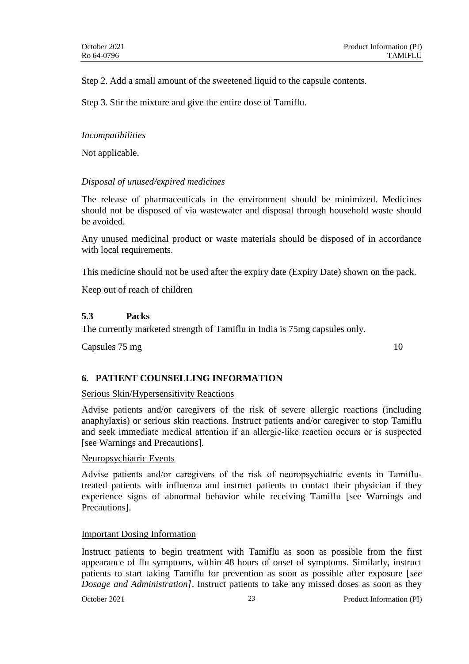Step 2. Add a small amount of the sweetened liquid to the capsule contents.

Step 3. Stir the mixture and give the entire dose of Tamiflu.

#### *Incompatibilities*

Not applicable.

## *Disposal of unused/expired medicines*

The release of pharmaceuticals in the environment should be minimized. Medicines should not be disposed of via wastewater and disposal through household waste should be avoided.

Any unused medicinal product or waste materials should be disposed of in accordance with local requirements.

This medicine should not be used after the expiry date (Expiry Date) shown on the pack.

Keep out of reach of children

### **5.3 Packs**

The currently marketed strength of Tamiflu in India is 75mg capsules only.

Capsules 75 mg 10

### **6. PATIENT COUNSELLING INFORMATION**

### Serious Skin/Hypersensitivity Reactions

Advise patients and/or caregivers of the risk of severe allergic reactions (including anaphylaxis) or serious skin reactions. Instruct patients and/or caregiver to stop Tamiflu and seek immediate medical attention if an allergic‐like reaction occurs or is suspected [see Warnings and Precautions].

#### Neuropsychiatric Events

Advise patients and/or caregivers of the risk of neuropsychiatric events in Tamiflutreated patients with influenza and instruct patients to contact their physician if they experience signs of abnormal behavior while receiving Tamiflu [see Warnings and Precautions].

#### Important Dosing Information

Instruct patients to begin treatment with Tamiflu as soon as possible from the first appearance of flu symptoms, within 48 hours of onset of symptoms. Similarly, instruct patients to start taking Tamiflu for prevention as soon as possible after exposure [*see Dosage and Administration]*. Instruct patients to take any missed doses as soon as they